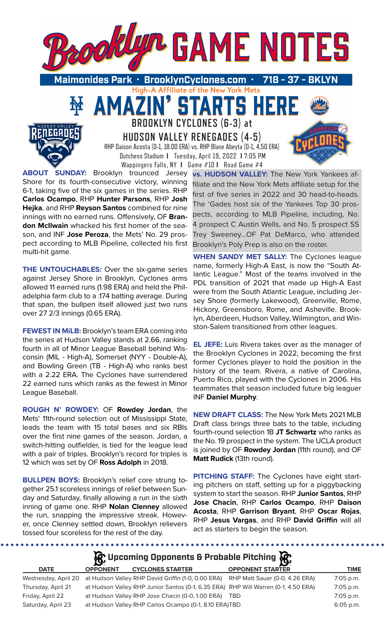

High-A Affiliate of the New York Mets

TARTS HE

**BROOKLYN CYCLONES (6-3) at** 

51

**HUDSON VALLEY RENEGADES (4-5)** RHP Daison Acosta (0-1, 18.00 ERA) vs. RHP Blane Abeyta (0-1, 4.50 ERA) Dutchess Stadium **I** Tuesday, April 19, 2022 **I** 7:05 PM

Wappingers Falls, NY **I** Game #10 **I** Road Game #4 **ABOUT SUNDAY:** Brooklyn trounced Jersey Shore for its fourth-consecutive victory, winning 6-1, taking five of the six games in the series. RHP **Carlos Ocampo**, RHP **Hunter Parsons**, RHP **Josh Hejka**, and RHP **Reyson Santos** combined for nine innings with no earned runs. Offensively, OF **Brandon McIlwain** whacked his first homer of the season, and INF **Jose Peroza**, the Mets' No. 29 prospect according to MLB Pipeline, collected his first multi-hit game.

**THE UNTOUCHABLES:** Over the six-game series against Jersey Shore in Brooklyn, Cyclones arms allowed 11 earned runs (1.98 ERA) and held the Philadelphia farm club to a .174 batting average. During that span, the bullpen itself allowed just two runs over 27 2/3 innings (0.65 ERA).

**FEWEST IN MILB:** Brooklyn's team ERA coming into the series at Hudson Valley stands at 2.66, ranking fourth in all of Minor League Baseball behind Wisconsin (MIL - High-A), Somerset (NYY - Double-A), and Bowling Green (TB - High-A) who ranks best with a 2.22 ERA. The Cyclones have surrendered 22 earned runs which ranks as the fewest in Minor League Baseball.

**ROUGH N' ROWDEY:** OF **Rowdey Jordan**, the Mets' 11th-round selection out of Mississippi State, leads the team with 15 total bases and six RBIs over the first nine games of the season. Jordan, a switch-hitting outfielder, is tied for the league lead with a pair of triples. Brooklyn's record for triples is 12 which was set by OF **Ross Adolph** in 2018.

**BULLPEN BOYS:** Brooklyn's relief core strung together 25.1 scoreless innings of relief between Sunday and Saturday, finally allowing a run in the sixth inning of game one. RHP **Nolan Clenney** allowed the run, snapping the impressive streak. However, once Clenney settled down, Brooklyn relievers tossed four scoreless for the rest of the day.

**vs. HUDSON VALLEY:** The New York Yankees affiliate and the New York Mets affiliate setup for the first of five series in 2022 and 30 head-to-heads. The 'Gades host six of the Yankees Top 30 prospects, according to MLB Pipeline, including, No. 4 prospect C Austin Wells, and No. 5 prospect SS Trey Sweeney...OF Pat DeMarco, who attended Brooklyn's Poly Prep is also on the roster.

**WHEN SANDY MET SALLY:** The Cyclones league name, formerly High-A East, is now the "South Atlantic League." Most of the teams involved in the PDL transition of 2021 that made up High-A East were from the South Atlantic League, including Jersey Shore (formerly Lakewood), Greenville, Rome, Hickory, Greensboro, Rome, and Asheville. Brooklyn, Aberdeen, Hudson Valley, Wilmington, and Winston-Salem transitioned from other leagues.

**EL JEFE:** Luis Rivera takes over as the manager of the Brooklyn Cyclones in 2022, becoming the first former Cyclones player to hold the position in the history of the team. Rivera, a native of Carolina, Puerto Rico, played with the Cyclones in 2006. His teammates that season included future big leaguer INF **Daniel Murphy**.

**NEW DRAFT CLASS:** The New York Mets 2021 MLB Draft class brings three bats to the table, including fourth-round selection 1B **JT Schwartz** who ranks as the No. 19 prospect in the system. The UCLA product is joined by OF **Rowdey Jordan** (11th round), and OF **Matt Rudick** (13th round).

**PITCHING STAFF:** The Cyclones have eight starting pitchers on staff, setting up for a piggybacking system to start the season. RHP **Junior Santos**, RHP **Jose Chacin**, RHP **Carlos Ocampo**, RHP **Daison Acosta**, RHP **Garrison Bryant**, RHP **Oscar Rojas**, RHP **Jesus Vargas**, and RHP **David Griffin** will all act as starters to begin the season.

| $\mathcal{G}$ , Upcoming Opponents & Probable Pitching $\mathcal{G}$ , |                 |                                                       |                                                                                                       |             |  |  |  |
|------------------------------------------------------------------------|-----------------|-------------------------------------------------------|-------------------------------------------------------------------------------------------------------|-------------|--|--|--|
| <b>DATE</b>                                                            | <b>OPPONENT</b> | <b>CYCLONES STARTER</b>                               | <b>OPPONENT STARTER</b>                                                                               | <b>TIME</b> |  |  |  |
|                                                                        |                 |                                                       | Wednesday, April 20 at Hudson Valley RHP David Griffin (1-0, 0.00 ERA) RHP Matt Sauer (0-0, 4.26 ERA) | 7:05 p.m.   |  |  |  |
| Thursday, April 21                                                     |                 |                                                       | at Hudson Valley RHP Junior Santos (0-1, 6.35 ERA) RHP Will Warren (0-1, 4.50 ERA)                    | 7:05 p.m.   |  |  |  |
| Friday, April 22                                                       |                 | at Hudson Valley RHP Jose Chacin (0-0, 1.00 ERA) TBD  |                                                                                                       | $7:05$ p.m. |  |  |  |
| Saturday, April 23                                                     |                 | at Hudson Valley RHP Carlos Ocampo (0-1, 8.10 ERA)TBD |                                                                                                       | $6:05$ p.m. |  |  |  |

. . . . . . . . .

........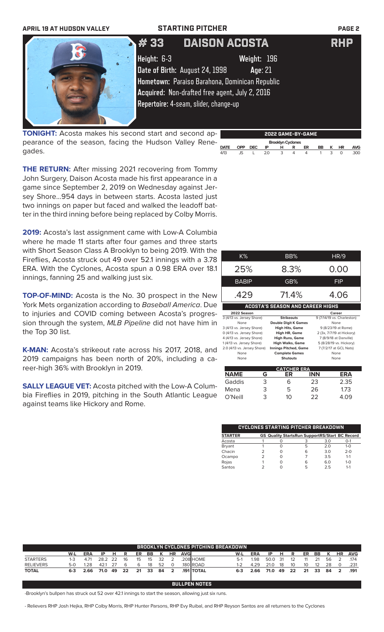| <b>APRIL 19 AT HUDSON VALLEY</b> | <b>STARTING PITCHER</b>                                                                                                                                                                                                                              | <b>PAGE 2</b> |
|----------------------------------|------------------------------------------------------------------------------------------------------------------------------------------------------------------------------------------------------------------------------------------------------|---------------|
|                                  | <b>DAISON ACOSTA</b><br># 33<br>Height: 6-3<br>Weight: 196<br>Date of Birth: August 24, 1998<br>Age: 21<br>Hometown: Paraiso Barahona, Dominican Republic<br>Acquired: Non-drafted free agent, July 2, 2016<br>Repertoire: 4-seam, slider, change-up | <b>RHP</b>    |

**TONIGHT:** Acosta makes his second start and second appearance of the season, facing the Hudson Valley Renegades.



**2022 GAME-BY-GAME**

**THE RETURN:** After missing 2021 recovering from Tommy John Surgery, Daison Acosta made his first appearance in a game since September 2, 2019 on Wednesday against Jersey Shore...954 days in between starts. Acosta lasted just two innings on paper but faced and walked the leadoff batter in the third inning before being replaced by Colby Morris.

**2019:** Acosta's last assignment came with Low-A Columbia where he made 11 starts after four games and three starts with Short Season Class A Brooklyn to being 2019. With the Fireflies, Acosta struck out 49 over 52.1 innings with a 3.78 ERA. With the Cyclones, Acosta spun a 0.98 ERA over 18.1 innings, fanning 25 and walking just six.

**TOP-OF-MIND:** Acosta is the No. 30 prospect in the New York Mets organization according to *Baseball America*. Due to injuries and COVID coming between Acosta's progression through the system, *MLB Pipeline* did not have him in the Top 30 list.

**K-MAN:** Acosta's strikeout rate across his 2017, 2018, and 2019 campaigns has been north of 20%, including a career-high 36% with Brooklyn in 2019.

**SALLY LEAGUE VET:** Acosta pitched with the Low-A Columbia Fireflies in 2019, pitching in the South Atlantic League against teams like Hickory and Rome.

| K%                          | BB%                                     | HR/9                       |
|-----------------------------|-----------------------------------------|----------------------------|
| 25%                         | 8.3%                                    | 0.00                       |
| <b>BABIP</b>                | GB%                                     | FIP                        |
| .429                        | 71.4%                                   | 4.06                       |
|                             | <b>ACOSTA'S SEASON AND CAREER HIGHS</b> |                            |
| 2022 Season                 |                                         | Career                     |
| 3 (4/13 vs. Jersey Shore)   | <b>Strikeouts</b>                       | 9 (7/14/19 vs. Charleston) |
| None                        | <b>Double Digit K Games</b>             | None                       |
| 3 (4/13 vs. Jersey Shore)   | <b>High Hits, Game</b>                  | 9 (8/23/19 at Rome)        |
| 0 (4/13 vs. Jersey Shore)   | <b>High HR, Game</b>                    | 2 (3x, 7/7/19 at Hickory)  |
| 4 (4/13 vs. Jersey Shore)   | <b>High Runs, Game</b>                  | 7 (8/9/18 at Danville)     |
| 1 (4/13 vs. Jersey Shore)   | <b>High Walks, Game</b>                 | 5 (8/28/19 vs. Hickory)    |
| 2.0 (4/13 vs. Jersey Shore) | Innings Pitched, Game                   | 7 (7/2/17 at GCL Nats)     |
| None                        | <b>Complete Games</b>                   | None                       |
| None                        | <b>Shutouts</b>                         | None                       |
|                             | <b>CATCHER ERA</b>                      |                            |
| NAME<br>G                   | ER                                      | <b>INN</b>                 |
|                             |                                         |                            |

| <b>NAME</b> | G | ER | <b>INN</b> | ERA  |
|-------------|---|----|------------|------|
| Gaddis      | 3 | 6  | 23         | 2.35 |
| Mena        | 3 | 5  | 26         | 1.73 |
| O'Neill     | З | 10 | フフ         | 4 በዓ |
|             |   |    |            |      |

| CYCLONES STARTING PITCHER BREAKDOWN |  |  |                                                       |     |         |  |  |
|-------------------------------------|--|--|-------------------------------------------------------|-----|---------|--|--|
| <b>STARTER</b>                      |  |  | <b>GS Quality StartsRun SupportRS/Start BC Record</b> |     |         |  |  |
| Acosta                              |  |  |                                                       | 3.0 | $O-1$   |  |  |
| Bryant                              |  |  | 5                                                     | 20  | $1 - 0$ |  |  |
| Chacin                              |  |  | 6                                                     | 3.0 | $2 - 0$ |  |  |
| Ocampo                              |  |  |                                                       | 35  | $1 - 1$ |  |  |
| Rojas                               |  |  | 6                                                     | 6.0 | $1 - 0$ |  |  |
| Santos                              |  |  | 5                                                     | 25  | $1 - 1$ |  |  |

| <b>BROOKLYN CYCLONES PITCHING BREAKDOWN</b> |         |            |      |     |    |    |      |    |                |             |                  |         |             |      |    |    |    |    |    |           |            |
|---------------------------------------------|---------|------------|------|-----|----|----|------|----|----------------|-------------|------------------|---------|-------------|------|----|----|----|----|----|-----------|------------|
|                                             | W-L     | <b>ERA</b> | ΙP   | н   | R  | ER | BB   |    | ΗR             | <b>AVGI</b> |                  | W-L     | <b>ERA</b>  | ΙP   | н  | R  | ER | BB |    | <b>HR</b> | <b>AVG</b> |
| <b>STARTERS</b>                             | $1 - 3$ | 4.71       | 28.2 | -22 | 16 | 15 | 15   | 32 |                |             | .208 HOME        | $5-1$   | <b>1.98</b> | 50.0 | 31 |    |    |    | 56 |           | 174        |
| <b>RELIEVERS</b>                            | $5-0$   | 1.28       | 421  |     | h  | 6  | 18   | 52 | $\Omega$       |             | 180 ROAD         |         | 4.29        | 21.0 | 18 | 10 | 10 | 12 | 28 |           | .231       |
| <b>TOTAL</b>                                | $6 - 3$ | 2.66       | 71.0 | -49 | 22 | 21 | - 33 | 84 | $\overline{2}$ |             | <b>191 TOTAL</b> | $6 - 3$ | 2.66        | 71.0 | 49 | 22 | 21 | 33 | 84 | 2         | .191       |
|                                             |         |            |      |     |    |    |      |    |                |             |                  |         |             |      |    |    |    |    |    |           |            |
| <b>BULLPEN NOTES</b>                        |         |            |      |     |    |    |      |    |                |             |                  |         |             |      |    |    |    |    |    |           |            |

-Brooklyn's bullpen has struck out 52 over 42.1 innings to start the season, allowing just six runs.

- Relievers RHP Josh Hejka, RHP Colby Morris, RHP Hunter Parsons, RHP Evy Ruibal, and RHP Reyson Santos are all returners to the Cyclones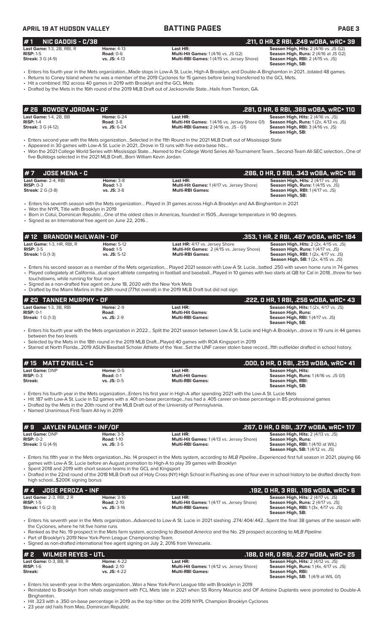**APRIL 19 AT HUDSON VALLEY BATTING PAGES PAGE 3**

# **# 1 NIC GADDIS - C/3B .211, 0 HR, 2 RBI, .249 wOBA, wRC+ 39 Last Game:** 1-3, 2B, RBI, R<br>**RISP:** 1-5 **Rise:** 2 (4/16 vs. JS G2) **Season High, Hits:** 2 (4/16 vs. JS G2) **Season High, Runs:** 2 (4/16 at JS G2) **RISP:** 1-5 **Road:** 0-6 **Multi-Hit Games:** 1 (4/16 vs. JS G2) **Season High, Runs:** 2 (4/16 at JS G2)

**Multi-RBI Games:** 1 (4/15 vs. Jersey Shore)

**Season High, SB:** 

• Enters his fourth year in the Mets organization...Made stops in Low-A St. Lucie, High-A Brooklyn, and Double-A Binghamton in 2021…totaled 48 games. • Returns to Coney Island where he was a member of the 2019 Cyclones for 15 games before being transferred to the GCL Mets.

• Hit a combined .192 across 40 games in 2019 with Brooklyn and the GCL Mets

• Drafted by the Mets in the 16th round of the 2019 MLB Draft out of Jacksonville State...Hails from Trenton, GA.

| # 26 ROWDEY JORDAN - OF                                                   |                                                           |                                                                                                                 | .281. O HR. 6 RBI. .366 WOBA. wRC+ 110                                                                                                                              |
|---------------------------------------------------------------------------|-----------------------------------------------------------|-----------------------------------------------------------------------------------------------------------------|---------------------------------------------------------------------------------------------------------------------------------------------------------------------|
| <b>Last Game: 1-4, 2B, BB</b><br>$RISP: 1-4$<br><b>Streak: 3 G (4-12)</b> | <b>Home: 6-24</b><br><b>Road: 3-8</b><br>$vs.$ JS: $6-24$ | Last HR:<br><b>Multi-Hit Games:</b> 1(4/16 vs. Jersey Shore G1)<br><b>Multi-RBI Games: 2 (4/16 vs. JS - G1)</b> | <b>Season High, Hits: 2 (4/16 vs. JS)</b><br><b>Season High, Runs:</b> $1(2x, 4/13 \text{ vs. JS})$<br><b>Season High, RBI: 3 (4/16 vs. JS)</b><br>Season High, SB: |

• Enters second year with the Mets organization…Selected in the 11th Round in the 2021 MLB Draft out of Mississippi State

Appeared in 30 games with Low-A St. Lucie in 2021...Drove in 13 runs with five extra-base hits.

• Won the 2021 College World Series with Mississippi State….Named to the College World Series All-Tournament Team…Second-Team All-SEC selection…One of five Bulldogs selected in the 2021 MLB Draft...Born William Kevin Jordan.

| # 7      JOSE MENA - C                                         |                                                         |                                                                                          | .286, 0 HR, 0 RBI, .343 w0BA, wRC+ 96                                                                                                                  |
|----------------------------------------------------------------|---------------------------------------------------------|------------------------------------------------------------------------------------------|--------------------------------------------------------------------------------------------------------------------------------------------------------|
| Last Game: 2-4. RBI<br>$RISP: 0-3$<br><b>Streak:</b> 2 G (3-8) | <b>Home: 3-8</b><br><b>Road: 1-3</b><br>$vs.$ JS: $3-8$ | Last HR:<br><b>Multi-Hit Games: 1 (4/17 vs. Jersey Shore)</b><br><b>Multi-RBI Games:</b> | <b>Season High, Hits: 2 (4/17 vs. JS)</b><br><b>Season High, Runs: 1 (4/15 vs. JS)</b><br><b>Season High, RBI:</b> 1 (4/17 vs. JS)<br>Season High, SB: |

• Enters his seventh season with the Mets organization… Played in 31 games across High-A Brooklyn and AA Binghamton in 2021

• Won the NYPL Title with Brooklyn in 2019

• Born in Cotui, Dominican Republic…One of the oldest cities in Americas, founded in 1505…Average temperature in 90 degrees.

• Signed as an International free agent on June 22, 2016…

| # 12 BRANDON McILWAIN - OF                                            |                                                         |                                                                                                                | .353, 1 HR, 2 RBI, .487 WOBA, WRC+ 184                                                                                                                                                           |
|-----------------------------------------------------------------------|---------------------------------------------------------|----------------------------------------------------------------------------------------------------------------|--------------------------------------------------------------------------------------------------------------------------------------------------------------------------------------------------|
| Last Game: 1-3, HR, RBI, R<br>$RISP: 3-5$<br><b>Streak:</b> 1 G (1-3) | <b>Home: 5-12</b><br><b>Road: 1-5</b><br>$vs.$ JS: 5-12 | <b>Last HR: 4/17 vs. Jersey Shore</b><br>Multi-Hit Games: 2 (4/15 vs. Jersey Shore)<br><b>Multi-RBI Games:</b> | <b>Season High, Hits:</b> $2$ ( $2x$ , $4/15$ vs. JS)<br><b>Season High, Runs: 1 (4/17 vs. JS)</b><br><b>Season High, RBI:</b> 1 (2x, 4/17 vs. JS)<br><b>Season High, SB:</b> 1(2x, 4/15 vs. JS) |

- Enters his second season as a member of the Mets organization… Played 2021 season with Low-A St. Lucie…batted .250 with seven home runs in 74 games • Played collegiately at California…dual sport athlete competing in football and baseball…Played in 10 games with two starts at QB for Cal in 2018…threw for two touchdowns, while running for four more
- Signed as a non-drafted free agent on June 18, 2020 with the New York Mets
- Drafted by the Miami Marlins in the 26th round (771st overall) in the 2019 MLB Draft but did not sign

| # 20 TANNER MURPHY - OF        |                  |                         | .222, 0 HR, 1 RBI, .256 w0BA, wRC+ 43                  |
|--------------------------------|------------------|-------------------------|--------------------------------------------------------|
| <b>Last Game: 1-3, 3B, RBI</b> | <b>Home: 2-9</b> | Last HR:                | <b>Season High, Hits:</b> $1(2x, 4/17 \text{ vs. JS})$ |
| $RISP: 0-1$                    | Road:            | <b>Multi-Hit Games:</b> | Season High, Runs:                                     |
| <b>Streak: 1G (1-3)</b>        | $vs.$ JS: $2-9$  | <b>Multi-RBI Games:</b> | <b>Season High, RBI:</b> 1 (4/17 vs. JS)               |
|                                |                  |                         | Season High, SB:                                       |

• Enters his fourth year with the Mets organization in 2022… Split the 2021 season between Low-A St. Lucie and High-A Brooklyn…drove in 19 runs in 44 games between the two levels

• Selected by the Mets in the 18th round in the 2019 MLB Draft…Played 40 games with ROA Kingsport in 2019

• Starred at North Florida…2019 ASUN Baseball Scholar Athlete of the Year…Set the UNF career stolen base record…11th outfielder drafted in school history.

| # 15 MATT O'NEILL - $C$ |                 |                         | .000, 0 HR, 0 RBI, .253 w0BA, wRC+ 41        |
|-------------------------|-----------------|-------------------------|----------------------------------------------|
| Last Game: DNP          | Home: $0-5$     | Last HR:                | Season High, Hits:                           |
| $RISP: 0-3$             | Road: $0-1$     | <b>Multi-Hit Games:</b> | <b>Season High, Runs: 1 (4/16 vs. JS G1)</b> |
| Streak:                 | $vs.$ JS: $0-5$ | <b>Multi-RBI Games:</b> | Season High, RBI:                            |
|                         |                 |                         | Season High, SB:                             |

• Enters his fourth year in the Mets organization...Enters his first year in High-A after spending 2021 with the Low-A St. Lucie Mets

• Hit .187 with Low-A St. Lucie in 52 games with a .401 on-base percentage...has had a .405 career on-base percentage in 85 professional games

• Drafted by the Mets in the 20th round of the MLB Draft out of the University of Pennsylvania.

• Named Unanimous First-Team All-Ivy in 2019

| $#S$ JAYLEN PALMER - INF/OF |                   |                                                   | .267, O HR, O RBI, .377 wOBA, wRC+ 117    |
|-----------------------------|-------------------|---------------------------------------------------|-------------------------------------------|
| <b>Last Game: DNP</b>       | <b>Home: 3-5</b>  | Last HR:                                          | <b>Season High, Hits: 2 (4/13 vs. JS)</b> |
| $RISP: 0-2$                 | <b>Road: 1-10</b> | <b>Multi-Hit Games: 1 (4/13 vs. Jersey Shore)</b> | Season High, Runs:                        |
| <b>Streak: 3 G (4-9)</b>    | $vs.$ JS: $3-5$   | <b>Multi-RBI Games:</b>                           | <b>Season High, RBI:</b> 1 (4/10 at WIL)  |
|                             |                   |                                                   | <b>Season High, SB:</b> 1(4/12 vs. JS)    |

• Enters his fifth year in the Mets organization...No. 14 prospect in the Mets system, according to *MLB Pipeline*...Experienced first full season in 2021, playing 66 games with Low-A St. Lucie before an August promotion to High-A to play 39 games with Brooklyn

• Spent 2018 and 2019 with short season teams in the GCL and Kingsport

• Drafted in the 22nd round of the 2018 MLB Draft out of Holy Cross (NY) High School in Flushing as one of four ever in school history to be drafted directly from high school...\$200K signing bonus

| $# 4$ JOSE PEROZA - INF         |                   |                                                   | .192, 0 HR, 3 RBI, .196 wOBA, wRC+ 6         |
|---------------------------------|-------------------|---------------------------------------------------|----------------------------------------------|
| <b>Last Game: 2-3. RBI. 2 R</b> | <b>Home: 3-16</b> | Last HR:                                          | <b>Season High, Hits: 2 (4/17 vs. JS)</b>    |
| $RISP: 1-5$                     | <b>Road: 2-10</b> | <b>Multi-Hit Games: 1 (4/17 vs. Jersey Shore)</b> | <b>Season High, Runs: 2 (4/17 vs. JS)</b>    |
| <b>Streak: 1 G (2-3)</b>        | $vs.$ JS: 3-16    | <b>Multi-RBI Games:</b>                           | <b>Season High, RBI:</b> 1 (3x, 4/17 vs. JS) |
|                                 |                   |                                                   | Season High, SB:                             |

- Enters his seventh year in the Mets organization...Advanced to Low-A St. Lucie in 2021 slashing .274/.404/.442…Spent the final 38 games of the season with the Cyclones, where he hit five home runs
- Ranked as the No. 19 prospect in the Mets farm system, according to *Baseball America* and the No. 29 prospect according to *MLB Pipeline*
- Part of Brooklyn's 2019 New York-Penn League Championship Team. • Signed as non-drafted international free agent signing on July 2, 2016 from Venezuela.

| #2                     | WILMER REYES - UTL       |                                                          |                                                                                          | .188, 0 HR, 0 RBI, .227 w0BA, wRC+ 25                                                                                                                         |
|------------------------|--------------------------|----------------------------------------------------------|------------------------------------------------------------------------------------------|---------------------------------------------------------------------------------------------------------------------------------------------------------------|
| $RISP: 1-6$<br>Streak: | Last Game: $0-3$ . BB. R | <b>Home: 4-22</b><br><b>Road: 2-10</b><br>$vs.$ JS: 4-22 | Last HR:<br><b>Multi-Hit Games: 1 (4/12 vs. Jersey Shore)</b><br><b>Multi-RBI Games:</b> | <b>Season High, Hits: 2 (4/12 vs. JS)</b><br><b>Season High, Runs:</b> $1(4x, 4/17 \text{ vs. JS})$<br>Season High, RBI:<br>Season High, SB: 1(4/9 at WIL G1) |

• Enters his seventh year in the Mets organization...Won a New York-Penn League title with Brooklyn in 2019

- Reinstated to Brooklyn from rehab assignment with FCL Mets late in 2021 when SS Ronny Mauricio and OF Antoine Duplantis were promoted to Double-A Binghamton.
- Hit .323 with a .350 on-base percentage in 2019 as the top hitter on the 2019 NYPL Champion Brooklyn Cyclones

23 year old hails from Mao, Dominican Republic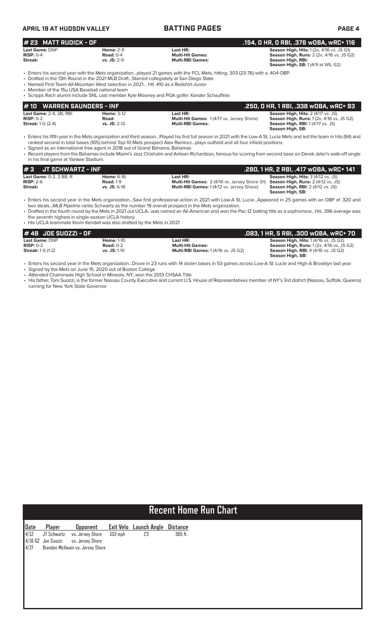| <b>APRIL 19 AT HUDSON VALLEY</b>                                                                                                      |                                                         | <b>BATTING PAGES</b>                                                                                                                                                                                                                                                                                                   | <b>PAGE 4</b>                                                                                                                                                  |
|---------------------------------------------------------------------------------------------------------------------------------------|---------------------------------------------------------|------------------------------------------------------------------------------------------------------------------------------------------------------------------------------------------------------------------------------------------------------------------------------------------------------------------------|----------------------------------------------------------------------------------------------------------------------------------------------------------------|
| # 23 MATT RUDICK - OF                                                                                                                 |                                                         |                                                                                                                                                                                                                                                                                                                        | .154, O HR, O RBI, .376 WOBA, WRC+ 116                                                                                                                         |
| Last Game: DNP<br>$RISP: 0-4$<br>Streak:                                                                                              | <b>Home: 2-9</b><br><b>Road: 0-4</b><br>$vs.$ JS: $2-9$ | Last HR:<br><b>Multi-Hit Games:</b><br><b>Multi-RBI Games:</b>                                                                                                                                                                                                                                                         | <b>Season High, Hits: 1 (2x, 4/16 vs. JS G1)</b><br><b>Season High, Runs: 2 (2x, 4/16 vs. JS G2)</b><br>Season High, RBI:<br>Season High, SB: 1(4/9 at WIL G2) |
| • Named First-Team All-Mountain West selection in 2021 Hit 410 as a Redshirt-Junior<br>• Member of the 15u USA Baseball national team |                                                         | . Enters his second year with the Mets organizationplayed 21 games with the FCL Mets, hitting. 303 (23-76) with a .404 OBP.<br>• Drafted in the 13th Round in the 2021 MLB DraftStarred collegiately at San Diego State<br>• Scripps Rach alumni include SNL cast member Kyle Mooney and PGA golfer Xander Schauffele. |                                                                                                                                                                |
| #10<br><b>WARREN SAUNDERS - INF</b>                                                                                                   |                                                         |                                                                                                                                                                                                                                                                                                                        | .250, 0 HR, 1 RBI, .338 w0BA, wRC+ 93                                                                                                                          |
| <b>Last Game: 2-4, 2B, RBI</b><br>$RISP: 0-2$<br><b>Streak:</b> 1 G (2-4)                                                             | <b>Home: 3-12</b><br>Road:<br>$vs.$ JS: $2-12$          | Last HR:<br><b>Multi-Hit Games: 1(4/17 vs. Jersey Shore)</b><br><b>Multi-RBI Games:</b>                                                                                                                                                                                                                                | Season High, Hits: 2 (4/17 vs. JS)<br><b>Season High, Runs: 1 (2x, 4/16 vs. JS G2)</b><br><b>Season High, RBI: 1 (4/17 vs. JS)</b>                             |

• Enters his fifth year in the Mets organization and third season…Played his first full season in 2021 with the Low-A St. Lucie Mets and led the team in hits (84) and ranked second in total bases (105) behind Top-10 Mets prospect Alex Ramirez…plays outfield and all four infield positions

**Season High, SB:** 

• Signed as an international free agent in 2018 out of Grand Bahama, Bahamas

• Recent players from the Bahamas include Miami's Jazz Chisholm and Antoan Richardson, famous for scoring from second base on Derek Jeter's walk-off single in his final game at Yankee Stadium.

| I#3<br>JT SCHWARTZ - INF       |                   |                                                      | .280, 1 HR, 2 RBI, .417 wOBA, wRC+ 141    |
|--------------------------------|-------------------|------------------------------------------------------|-------------------------------------------|
| <b>Last Game:</b> 0-2, 2 BB, R | <b>Home: 6-16</b> | Last HR:                                             | <b>Season High, Hits: 3 (4/12 vs. JS)</b> |
| $RISP: 2-6$                    | <b>Road: 1-9</b>  | <b>Multi-Hit Games: 2 (4/16 vs. Jersey Shore G1)</b> | <b>Season High, Runs: 2 (4/12 vs. JS)</b> |
| Streak:                        | $vs.$ JS: $6-16$  | <b>Multi-RBI Games:</b> 1(4/12 vs. Jersey Shore)     | <b>Season High, RBI:</b> 2 (4/12 vs. JS)  |
|                                |                   |                                                      | Season High, SB:                          |

• Enters his second year in the Mets organization…Saw first professional action in 2021 with Low-A St. Lucie…Appeared in 25 games with an OBP of .320 and two steals...*MLB Pipeline* ranks Schwartz as the number 19 overall prospect in the Mets organization.

• Drafted in the fourth round by the Mets in 2021 out UCLA…was named an All-American and won the Pac-12 batting title as a sophomore…His .396 average was the seventh highest in single-season UCLA history

• His UCLA teammate Kevin Kendall was also drafted by the Mets in 2021

| $#48$ JDE SUOZZI - OF      |                     |                                            | .083, 1 HR, 5 RBI, .300 w0BA, wRC+ 70            |
|----------------------------|---------------------|--------------------------------------------|--------------------------------------------------|
| <b>Last Game: DNP</b>      | <b>Home: 1-10</b>   | Last HR:                                   | <b>Season High, Hits: 1 (4/16 vs. JS G2)</b>     |
| $RISP: 0-2$                | Road: $0-2$         | <b>Multi-Hit Games:</b>                    | <b>Season High, Runs: 1 (2x, 4/16 vs. JS G2)</b> |
| <b>Streak:</b> $1 G (1-2)$ | <b>vs. JS:</b> 1-10 | <b>Multi-RBI Games: 1 (4/16 vs. JS G2)</b> | <b>Season High, RBI:</b> 4 (4/16 vs. JS G2)      |
|                            |                     |                                            | Season High, SB:                                 |

• Enters his second year in the Mets organization...Drove in 23 runs with 14 stolen bases in 53 games across Low-A St. Lucie and High-A Brooklyn last year

• Signed by the Mets on June 15, 2020 out of Boston College • Attended Chaminade High School in Mineola, NY...won the 2013 CHSAA Title

• His father, Tom Suozzi, is the former Nassau County Executive and current U.S. House of Representatives member of NY's 3rd district (Nassau, Suffolk, Queens) running for New York State Governor.

# **Recent Home Run Chart**

| Date | Player               | <b>Opponent</b>                   |           | Exit Velo Launch Angle Distance |         |
|------|----------------------|-----------------------------------|-----------|---------------------------------|---------|
| 4/12 | JT Schwartz          | vs. Jersey Shore                  | $103$ mph | 23                              | 365 ft. |
|      | $4/16$ G2 Joe Suozzi | vs. Jersey Shore                  |           |                                 |         |
| 4/17 |                      | Brandon McIlwain vs. Jersey Shore |           |                                 |         |
|      |                      |                                   |           |                                 |         |
|      |                      |                                   |           |                                 |         |
|      |                      |                                   |           |                                 |         |
|      |                      |                                   |           |                                 |         |
|      |                      |                                   |           |                                 |         |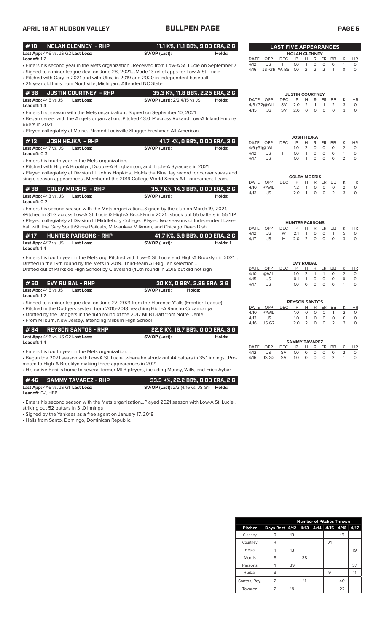# **APRIL 19 AT HUDSON VALLEY BULLPEN PAGE PAGE 5**

| #18<br>Last App: 4/16 vs. JS G2 Last Loss:                      | <b>NOLAN CLENNEY - RHP</b>                                                                                     | 11.1 K%, 11.1 BB%, 9.00 ERA, 2 G<br>SV/OP (Last):                                                                                                                                                                                                                                                                                                                                                                                         | Holds:   |                              |                                        | <b>LAST FIVE APPEARANCES</b> | <b>NOLAN CLENNEY</b>                                     |                                                        |                                   |                                    |                               |                                       |                               |
|-----------------------------------------------------------------|----------------------------------------------------------------------------------------------------------------|-------------------------------------------------------------------------------------------------------------------------------------------------------------------------------------------------------------------------------------------------------------------------------------------------------------------------------------------------------------------------------------------------------------------------------------------|----------|------------------------------|----------------------------------------|------------------------------|----------------------------------------------------------|--------------------------------------------------------|-----------------------------------|------------------------------------|-------------------------------|---------------------------------------|-------------------------------|
| Leadoff: 1-2                                                    |                                                                                                                |                                                                                                                                                                                                                                                                                                                                                                                                                                           |          | DATE                         | OPP                                    | <b>DEC</b>                   | IP                                                       | H                                                      | R                                 | ER BB                              |                               | Κ                                     | HR                            |
|                                                                 | • 25 year old hails from Northville, Michigan Attended NC State                                                | - Enters his second year in the Mets organizationReceived from Low-A St. Lucie on September 7<br>· Signed to a minor league deal on June 28, 2021Made 13 relief apps for Low-A St. Lucie<br>• Pitched with Gary in 2021 and with Utica in 2019 and 2020 in independent baseball                                                                                                                                                           |          | 4/12<br>4/16                 | <b>JS</b><br>JS (G1) W, BS 1.0         | H                            | 1.0                                                      | $\mathbf{1}$<br>2                                      | $\mathbf 0$<br>2                  | 0<br>2                             | $\circ$<br>$\overline{1}$     | $\mathbf{1}$<br>0                     | $\circ$<br>$\circ$            |
| #36                                                             | <b>JUSTIN COURTNEY - RHP</b>                                                                                   | 35.3 K%, 11.8 BB%, 2.25 ERA, 2 G                                                                                                                                                                                                                                                                                                                                                                                                          |          |                              |                                        |                              | <b>JUSTIN COURTNEY</b>                                   |                                                        |                                   |                                    |                               |                                       |                               |
| Last App: $4/15$ vs JS<br>Leadoff: 1-4                          | <b>Last Loss:</b>                                                                                              | <b>SV/OP (Last):</b> 2/2 4/15 vs JS                                                                                                                                                                                                                                                                                                                                                                                                       | Holds:   |                              | DATE OPP<br>4/9 (G2)@WIL               | <b>DEC</b><br><b>SV</b>      | IP<br>2.0                                                | H<br>2                                                 | R<br>1                            | ER<br>$\mathbf{1}$                 | BB<br>2                       | К<br>3                                | HR<br>0                       |
| 66ers in 2021                                                   |                                                                                                                | • Enters first season with the Mets organization Signed on September 10, 2021<br>. Began career with the Angels organizationPitched 43.0 IP across Rokand Low-A Inland Empire<br>• Played collegiately at MaineNamed Louisville Slugger Freshman All-American                                                                                                                                                                             |          | 4/15                         | JS                                     | SV                           | 2.0                                                      | $\circ$                                                | $\circ$                           | $\circ$                            | $\circ$                       | 3                                     | $\circ$                       |
|                                                                 |                                                                                                                |                                                                                                                                                                                                                                                                                                                                                                                                                                           |          |                              |                                        |                              | <b>JOSH HEJKA</b>                                        |                                                        |                                   |                                    |                               |                                       |                               |
| #13<br>Last App: 4/17 vs. JS<br>Leadoff: 0-3                    | <b>JOSH HEJKA - RHP</b><br><b>Last Loss:</b>                                                                   | 41.7 K%, O BB%, O.OO ERA, 3 G<br>SV/OP (Last):                                                                                                                                                                                                                                                                                                                                                                                            | Holds:   | 4/12                         | DATE OPP<br>4/9 (G1)@ WIL<br>JS        | DEC<br>н                     | IP<br>1.0<br>1.0                                         | Н<br>$\overline{2}$<br>$\mathbf{1}$                    | R<br>0<br>0                       | ER<br>$\circ$<br>$\circ$           | BB<br>$\circ$<br>$\circ$      | Κ<br>2<br>$\mathbf{1}$                | HR<br>$\circ$<br>0            |
|                                                                 | • Enters his fourth year in the Mets organization                                                              | • Pitched with High-A Brooklyn, Double-A Binghamton, and Triple-A Syracuse in 2021                                                                                                                                                                                                                                                                                                                                                        |          | 4/17                         | <b>JS</b>                              |                              | 1.0                                                      | $\mathbf{1}$                                           | $\mathbf 0$                       | $\circ$                            | $\circ$                       | $\overline{2}$                        | $\circ$                       |
|                                                                 |                                                                                                                | • Played collegiately at Division III Johns HopkinsHolds the Blue Jay record for career saves and<br>single-season appearancesMember of the 2019 College World Series All-Tournament Team.                                                                                                                                                                                                                                                |          |                              |                                        |                              | <b>COLBY MORRIS</b>                                      |                                                        |                                   |                                    |                               |                                       |                               |
|                                                                 |                                                                                                                |                                                                                                                                                                                                                                                                                                                                                                                                                                           |          | DATE<br>4/10                 | OPP<br>@WIL                            | <b>DEC</b>                   | IP<br>1.2                                                | Н<br>$\mathbf{1}$                                      | R<br>0                            | ER<br>0                            | BB<br>0                       | Κ<br>$\overline{2}$                   | HR<br>$\circ$                 |
| #38<br>Last App: 4/13 vs. JS<br>Leadoff: 0-2                    | <b>COLBY MORRIS - RHP</b><br><b>Last Loss:</b>                                                                 | 35.7 K%, 14.3 BB%, 0.00 ERA, 2 G<br>SV/OP (Last):                                                                                                                                                                                                                                                                                                                                                                                         | Holds:   | 4/13                         | JS                                     |                              | 2.0                                                      | $\mathbf{1}$                                           | 0                                 | $\circ$                            | 2                             | 3                                     | $\circ$                       |
| #17<br>Last App: 4/17 vs. JS                                    | <b>HUNTER PARSONS - RHP</b><br>Last Loss:                                                                      | . Enters his second season with the Mets organizationSigned by the club on March 19, 2021<br>-Pitched in 31 G across Low-A St. Lucie & High-A Brooklyn in 2021struck out 65 batters in 55.1 IP<br>. Played collegiately at Division III Middlebury CollegePlayed two seasons of Independent base-<br>ball with the Gary SouthShore Railcats, Milwaukee Milkmen, and Chicago Deep Dish<br>41.7 K%, 5.9 BB%, 0.00 ERA, 2 G<br>SV/OP (Last): | Holds: 1 | DATE<br>4/12<br>4/17         | OPP<br><b>JS</b><br><b>JS</b>          | <b>DEC</b><br>W<br>Н         | <b>HUNTER PARSONS</b><br>IP<br>2.1<br>2.0                | H<br>1<br>2                                            | R<br>0<br>0                       | ER<br>$\circ$<br>0                 | BB<br>$\mathbf{1}$<br>0       | Κ<br>5<br>3                           | HR<br>0<br>$\circ$            |
| Leadoff: 1-4                                                    |                                                                                                                |                                                                                                                                                                                                                                                                                                                                                                                                                                           |          |                              |                                        |                              |                                                          |                                                        |                                   |                                    |                               |                                       |                               |
| #50<br>Last App: 4/15 vs JS                                     | <b>EVY RUIBAL - RHP</b><br><b>Last Loss:</b>                                                                   | . Enters his fourth year in the Mets org. Pitched with Low-A St. Lucie and High-A Brooklyn in 2021<br>Drafted in the 19th round by the Mets in 2019Third-team All-Big Ten selection<br>Drafted out of Parkside High School by Cleveland (40th round) in 2015 but did not sign<br>30 K%, 0 BB%, 3.86 ERA, 3 G<br>SV/OP (Last):<br>Holds:                                                                                                   |          | DATE<br>4/10<br>4/15<br>4/17 | OPP<br>@WIL<br>JS<br><b>JS</b>         | <b>DEC</b>                   | IP<br>1.0<br>0.1<br>1.0                                  | <b>EVY RUIBAL</b><br>Н<br>2<br>$\mathbf{1}$<br>$\circ$ | R<br>$\mathbf{1}$<br>0<br>$\circ$ | ER<br>$\mathbf{1}$<br>0<br>$\circ$ | BB<br>$\circ$<br>0<br>$\circ$ | Κ<br>2<br>$\mathbf 0$<br>$\mathbf{1}$ | HR<br>$\circ$<br>0<br>$\circ$ |
| Leadoff: 1-2                                                    | • From Milburn, New Jersey, attending Milburn High School                                                      | • Signed to a minor league deal on June 27, 2021 from the Florence Y'alls (Frontier League)<br>• Pitched in the Dodgers system from 2015-2018, reaching High-A Rancho Cucamonga<br>• Drafted by the Dodgers in the 16th round of the 2017 MLB Draft from Notre Dame                                                                                                                                                                       |          | DATE<br>4/10<br>4/13<br>4/16 | OPP<br>@WIL<br>JS<br>JS G <sub>2</sub> | DEC                          | <b>REYSON SANTOS</b><br>IP<br>1.0<br>1.0<br>$2.0\quad 2$ | Н<br>$\circ$                                           | R<br>$\circ$<br>0<br>$0\quad 0$   | ER<br>$\circ$<br>0                 | BB<br>$\mathbf{1}$<br>0<br>2  | Κ<br>$\overline{2}$<br>0<br>2         | HR<br>$\circ$<br>0<br>0       |
| #34                                                             | <b>REYSON SANTOS - RHP</b>                                                                                     | 22.2 K%, 16.7 BB%, 0.00 ERA, 3 G                                                                                                                                                                                                                                                                                                                                                                                                          |          |                              |                                        |                              |                                                          |                                                        |                                   |                                    |                               |                                       |                               |
| Last App: 4/16 vs. JS G2 Last Loss:<br>Leadoff: 1-4             |                                                                                                                | SV/OP (Last):                                                                                                                                                                                                                                                                                                                                                                                                                             | Holds:   | DATE                         | OPP                                    | DEC                          | <b>SAMMY TAVAREZ</b><br>IP                               | H                                                      | R                                 | ER                                 | BB                            | К                                     | HR                            |
|                                                                 | • Enters his fourth year in the Mets organization<br>moted to High-A Brooklyn making three appearances in 2021 | - Began the 2021 season with Low-A St. Luciewhere he struck out 44 batters in 35.1 inningsPro-<br>• His native Bani is home to several former MLB players, including Manny, Willy, and Erick Aybar.                                                                                                                                                                                                                                       |          | 4/12<br>4/16                 | JS<br>JS G2                            | SV<br><b>SV</b>              | 1.0<br>1.0                                               | 0<br>0                                                 | 0<br>0                            | 0<br>0                             | 0<br>2                        | 2<br>$\mathbf{1}$                     | 0<br>0                        |
| #46<br>Last App: 4/16 vs. JS G1 Last Loss:<br>Leadoff: 0-1, HBP | <b>SAMMY TAVAREZ - RHP</b>                                                                                     | 33.3 K%, 22.2 BB%, 0.00 ERA, 2 G<br><b>SV/OP (Last):</b> 2/2 (4/16 vs. JS G1) <b>Holds:</b>                                                                                                                                                                                                                                                                                                                                               |          |                              |                                        |                              |                                                          |                                                        |                                   |                                    |                               |                                       |                               |
| striking out 52 batters in 31.0 innings                         |                                                                                                                | . Enters his second season with the Mets organizationPlayed 2021 season with Low-A St. Lucie                                                                                                                                                                                                                                                                                                                                              |          |                              |                                        |                              |                                                          |                                                        |                                   |                                    |                               |                                       |                               |

• Signed by the Yankees as a free agent on January 17, 2018

• Hails from Santo, Domingo, Dominican Republic.

|                | <b>Number of Pitches Thrown</b> |    |      |               |    |      |      |  |
|----------------|---------------------------------|----|------|---------------|----|------|------|--|
| <b>Pitcher</b> | Days Rest 4/12                  |    | 4/13 | $4/14$ $4/15$ |    | 4/16 | 4/17 |  |
| Clenney        | 2                               | 13 |      |               |    | 15   |      |  |
| Courtney       | 3                               |    |      |               | 21 |      |      |  |
| Hejka          |                                 | 13 |      |               |    |      | 19   |  |
| <b>Morris</b>  | 5                               |    | 38   |               |    |      |      |  |
| Parsons        |                                 | 39 |      |               |    |      | 37   |  |
| Ruibal         | 3                               |    |      |               | 9  |      | 11   |  |
| Santos, Rey.   | 2                               |    | 11   |               |    | 40   |      |  |
| Tavarez        | 2                               | 19 |      |               |    | 22   |      |  |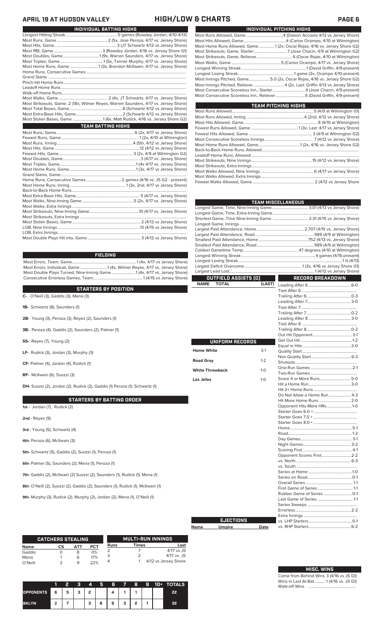## **APRIL 19 AT HUDSON VALLEY HIGH/LOW & CHARTS PAGE 6**

| INDIVIDUAL BATTING HIGHS                                                           |
|------------------------------------------------------------------------------------|
|                                                                                    |
|                                                                                    |
|                                                                                    |
|                                                                                    |
|                                                                                    |
|                                                                                    |
| Most Home Runs, Game1 (3x, Brandon McIlwain, 4/17 vs. Jersey Shore)                |
|                                                                                    |
|                                                                                    |
|                                                                                    |
|                                                                                    |
|                                                                                    |
|                                                                                    |
| Most Strikeouts, Game2 (18x, Wilmer Reyes, Warren Saunders, 4/17 vs. Jersey Shore) |
|                                                                                    |
|                                                                                    |
| Most Stolen Bases, Game 1 (6x, Matt Rudick, 4/16 vs. Jersey Shore G2)              |
| <b>TEAM BATTING HIGHS</b>                                                          |
|                                                                                    |
|                                                                                    |
|                                                                                    |
|                                                                                    |
|                                                                                    |
|                                                                                    |
|                                                                                    |
|                                                                                    |
|                                                                                    |
|                                                                                    |
|                                                                                    |
|                                                                                    |
|                                                                                    |
|                                                                                    |
|                                                                                    |
|                                                                                    |
|                                                                                    |
|                                                                                    |
|                                                                                    |
|                                                                                    |
|                                                                                    |

### **FIELDING**

Most Errors, Team, Game................................................................1 (4x, 4/17 vs Jersey Shore) Most Errors, Individual, Game...........................1 (4x, Wilmer Reyes, 4/17 vs. Jersey Shore) Most Double Plays Turned, Nine-Inning Game........................1 (4x, 4/17 vs. Jersey Shore) Consecutive Errorless Games, Team.

### **STARTERS BY POSITION**

**C-** O'Neill (3), Gaddis (3), Mena (3)

- **1B-** Schwartz (8), Saunders (1)
- **2B-** Young (3), Peroza (3), Reyes (2), Saunders (1)
- **3B-** Peroza (4), Gaddis (2), Saunders (2), Palmer (1)
- **SS-** Reyes (7), Young (2)
- **LF-** Rudick (3), Jordan (3), Murphy (3)
- **CF-** Palmer (4), Jordan (4), Rudick (1)
- **RF-** McIlwain (6), Suozzi (3)

**DH-** Suozzi (2), Jordan (2), Rudick (2), Gaddis (1) Peroza (1), Schwartz (1)

### **STARTERS BY BATTING ORDER**

**1st -** Jordan (7), Rudick (2)

**2nd -** Reyes (9)

- **3rd** Young (5), Schwartz (4)
- **4th-** Peroza (6), McIlwain (3)

**5th-** Schwartz (5), Gaddis (2), Suozzi (1), Peroza (1)

**6th-** Palmer (5), Saunders (2), Mena (1), Peroza (1)

**7th-** Gaddis (2), McIlwain (2) Suozzi (2), Saunders (1), Rudick (1), Mena (1)

**8th-** O'Neill (2), Suozzi (2), Gaddis (2), Saunders (1), Rudick (1), McIlwain (1)

**9th-** Murphy (3), Rudick (2), Murphy (2), Jordan (2), Mena (1), O'Neill (1)

|             | <b>CATCHERS STEALING</b> |     |            |      |       | <b>MULTI-RUN INNINGS</b> |
|-------------|--------------------------|-----|------------|------|-------|--------------------------|
| <b>Name</b> | СS                       | ΔТΤ | <b>PCT</b> | Runs | Times | Last                     |
| Gaddis      |                          |     | 0%         |      |       | $4/17$ vs JS             |
| Mena        |                          | 6   | 17%        |      |       | $4/17$ vs. JS            |
| O'Neill     |                          | q   | 22%        |      |       | 4/12 vs Jersey Shore     |

|                  |     |   | Ω | 4 | Я | 6 |   | 8 | g | 10+ | <b>TOTALS</b> |
|------------------|-----|---|---|---|---|---|---|---|---|-----|---------------|
| <b>OPPONENTS</b> | l 6 | 5 | ٠ | כ |   |   |   |   |   |     |               |
| <b>BKLYN</b>     | ີ   |   |   | з | 8 | 6 | з | , |   |     | 55            |

| INDIVIDUAL PITCHING HIGHS                                                 |
|---------------------------------------------------------------------------|
|                                                                           |
|                                                                           |
| Most Home Runs Allowed, Game1 (2x, Oscar Rojas, 4/16 vs. Jersey Shore G2) |
|                                                                           |
|                                                                           |
|                                                                           |
|                                                                           |
|                                                                           |
| Most Innings Pitched, Game5.0 (2x, Oscar Rojas, 4/16 vs. Jersey Shore G2) |
|                                                                           |
|                                                                           |
| Most Consecutive Scoreless Inn., Reliever 5 (David Griffin, 4/9-present)  |

| <b>TEAM PITCHING HIGHS</b> |  |
|----------------------------|--|
|                            |  |
|                            |  |
|                            |  |
|                            |  |
|                            |  |
|                            |  |
|                            |  |
|                            |  |
|                            |  |
|                            |  |
|                            |  |
|                            |  |
|                            |  |
|                            |  |

|                             |                        | <b>TEAM MISCELLANEOUS</b>   |  |
|-----------------------------|------------------------|-----------------------------|--|
|                             |                        |                             |  |
|                             |                        |                             |  |
|                             |                        |                             |  |
|                             |                        |                             |  |
|                             |                        |                             |  |
|                             |                        |                             |  |
|                             |                        |                             |  |
|                             |                        |                             |  |
|                             |                        |                             |  |
|                             |                        |                             |  |
|                             |                        |                             |  |
| OUTFIELD ASSISTS (0)        | <b>Service Service</b> | <b>RECORD BREAKDOWN</b>     |  |
| <b>NAME</b><br><b>TOTAL</b> | (LAST)                 |                             |  |
|                             |                        |                             |  |
|                             |                        |                             |  |
|                             |                        |                             |  |
|                             |                        |                             |  |
|                             |                        |                             |  |
|                             |                        |                             |  |
|                             |                        |                             |  |
|                             |                        |                             |  |
|                             |                        |                             |  |
|                             |                        |                             |  |
| UNIFORM RECORDS             |                        |                             |  |
| <b>Home White</b>           | $3-1$                  |                             |  |
|                             |                        |                             |  |
| <b>Road Gray</b>            | $1 - 2$                |                             |  |
|                             |                        |                             |  |
| <b>White Throwback</b>      | $1-0$                  |                             |  |
| Los Jefes                   | $1-0$                  | Score 4 or More Runs5-0     |  |
|                             |                        |                             |  |
|                             |                        |                             |  |
|                             |                        | Do Not Allow a Home Run 4-3 |  |
|                             |                        | Hit More Home Runs 2-0      |  |
|                             |                        | Opponent Hits More HRs1-0   |  |
|                             |                        |                             |  |
|                             |                        |                             |  |
|                             |                        |                             |  |
|                             |                        |                             |  |
|                             |                        |                             |  |
|                             |                        |                             |  |
|                             |                        |                             |  |
|                             |                        | Opponent Scores First 2-2   |  |
|                             |                        |                             |  |
|                             |                        |                             |  |
|                             |                        |                             |  |
|                             |                        |                             |  |
|                             |                        |                             |  |
|                             |                        |                             |  |
|                             |                        |                             |  |
|                             |                        |                             |  |
|                             |                        |                             |  |
|                             |                        |                             |  |
| <b>EJECTIONS</b>            |                        |                             |  |
|                             |                        |                             |  |

### **Name Umpire Date**

Home **Road 0** 

Los Je

|  | <b>MISC. WINS</b> |  |
|--|-------------------|--|
|  |                   |  |

vs. RHP Starters .........................................6-2

Come from Behind Wins 3 (4/16 vs JS G1) Wins in Last At-Bat...........1 (4/16 vs. JS G1) Walk-off Wins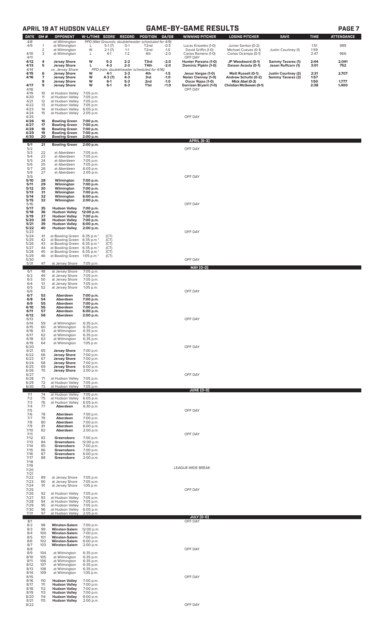# **APRIL 19 AT HUDSON VALLEY GAME-BY-GAME RESULTS PAGE 7**

| <b>DATE</b>        | GM#                 | <b>OPPONENT</b>                                                      | W-L/TIME SCORE                      |                   | <b>RECORD</b>      | POSITION                                                               | GA/GB            | <b>WINNING PITCHER</b>                       | <b>LOSING PITCHER</b>                       | <b>SAVE</b>                                    | <b>TIME</b>  | <b>ATTENDANCE</b> |
|--------------------|---------------------|----------------------------------------------------------------------|-------------------------------------|-------------------|--------------------|------------------------------------------------------------------------|------------------|----------------------------------------------|---------------------------------------------|------------------------------------------------|--------------|-------------------|
| 4/8<br>4/9         | 1                   | at Wilmington<br>at Wilmington                                       | L                                   | $5-1(7)$          | $0-1$              | PPD (Wet Grounds; doubleheader scheduled for 4/9)<br>T <sub>2</sub> nd | $-0.5$           | Lucas Knowles (1-0)                          | Junior Santos (0-2)                         |                                                | 1:51         | 989               |
| 4/10               | $\overline{2}$<br>3 | at Wilmington<br>at Wilmington                                       | W<br>L                              | $2-1(7)$<br>$4-1$ | $1 - 1$<br>$1 - 2$ | T <sub>2</sub> nd<br>4th                                               | $-1.0$<br>$-2.0$ | David Griffin (1-0)<br>Carlos Romero (1-0)   | Michael Cuevas (0-1)<br>Carlos Ocampo (0-1) | Justin Courtney (1)                            | 1:59<br>2:47 | 966               |
| 4/11<br>4/12       | 4                   |                                                                      | w                                   | $5-2$             | $2 - 2$            | T3rd                                                                   | $-2.0$           | OFF DAY                                      |                                             |                                                | 2:44         | 2,041             |
| 4/13               | 5                   | <b>Jersey Shore</b><br><b>Jersey Shore</b>                           | г                                   | 4-3               | $2 - 3$            | T4th                                                                   | $-2.0$           | Hunter Parsons (1-0)<br>Dominic Pipkin (1-0) | JP Woodward (0-1)<br>Daison Acosta (0-1)    | <b>Sammy Tavares (1)</b><br>Jason Ruffcorn (1) | 3:01         | 752               |
| 4/14<br>4/15       | 6                   | vs. Jersey Shore<br><b>Jersey Shore</b>                              | W                                   | 4-1               | $3-3$              | PPD (rain; doubleheader scheduled for 4/16)<br>4th                     | $-1.5$           | Jesus Vargas (1-0)                           | <b>Matt Russell (0-1)</b>                   | Justin Courtney (2)                            | 2:31         | 2,707             |
| 4/16               | 7<br>8              | <b>Jersey Shore</b><br><b>Jersey Shore</b>                           | W<br>W                              | $4-3(7)$<br>6-1   | $4 - 3$<br>$5-3$   | 3rd<br>2nd                                                             | $-1.0$<br>$-1.0$ | Nolan Clenney (1-0)<br>Oscar Rojas (1-0)     | Andrew Schultz (0-2)<br>Mick Abel (0-2)     | Sammy Tavarez (2)                              | 1:57<br>1:50 | 1,777             |
| 4/17<br>4/18       | 9                   | <b>Jersey Shore</b>                                                  | W                                   | $6 - 1$           | $6-3$              | T1st                                                                   | $+1.0$           | <b>Garrison Bryant (1-0)</b><br>OFF DAY      | Christian McGowan (0-1)                     |                                                | 2:38         | 1,400             |
| 4/19               | 10<br>11            | at Hudson Valley<br>at Hudson Valley                                 | 7:05 p.m.                           |                   |                    |                                                                        |                  |                                              |                                             |                                                |              |                   |
| 4/20<br>4/21       | 12                  | at Hudson Valley                                                     | 7:05 p.m.<br>7:05 p.m.              |                   |                    |                                                                        |                  |                                              |                                             |                                                |              |                   |
| 4/22<br>4/23       | 13<br>14            | at Hudson Valley<br>at Hudson Valley                                 | 7:05 p.m.<br>6:05 p.m.              |                   |                    |                                                                        |                  |                                              |                                             |                                                |              |                   |
| 4/24<br>4/25       | 15                  | at Hudson Valley                                                     | 2:05 p.m.                           |                   |                    |                                                                        |                  | OFF DAY                                      |                                             |                                                |              |                   |
| 4/26<br>4/27       | 16<br>17            | <b>Bowling Green</b><br><b>Bowling Green</b>                         | 7:00 p.m.<br>7:00 p.m.              |                   |                    |                                                                        |                  |                                              |                                             |                                                |              |                   |
| 4/28<br>4/29       | 18<br>19            | <b>Bowling Green</b><br><b>Bowling Green</b>                         | 7:00 p.m.<br>7:00 p.m.              |                   |                    |                                                                        |                  |                                              |                                             |                                                |              |                   |
| 4/30               | 20                  | <b>Bowling Green</b>                                                 | 2:00 p.m.                           |                   |                    |                                                                        |                  | <b>APRIL [6-3]</b>                           |                                             |                                                |              |                   |
| 5/1<br>5/2         | 21                  | <b>Bowling Green</b>                                                 | 2:00 p.m.                           |                   |                    |                                                                        |                  | OFF DAY                                      |                                             |                                                |              |                   |
| 5/3<br>5/4         | 22<br>23            | at Aberdeen<br>at Aberdeen                                           | 7:05 p.m.<br>7:05 p.m.              |                   |                    |                                                                        |                  |                                              |                                             |                                                |              |                   |
| 5/5<br>5/6         | 24<br>25            | at Aberdeen<br>at Aberdeen                                           | 7:05 p.m.<br>7:05 p.m.              |                   |                    |                                                                        |                  |                                              |                                             |                                                |              |                   |
| 5/7                | 26<br>27            | at Aberdeen                                                          | 6:05 p.m.                           |                   |                    |                                                                        |                  |                                              |                                             |                                                |              |                   |
| 5/8<br>5/9<br>5/10 | 28                  | at Aberdeen                                                          | 2:05 p.m.                           |                   |                    |                                                                        |                  | OFF DAY                                      |                                             |                                                |              |                   |
| 5/11               | 29                  | Wilmington<br>Wilmington                                             | 7:00 p.m.<br>7:00 p.m.              |                   |                    |                                                                        |                  |                                              |                                             |                                                |              |                   |
| 5/12<br>5/13       | 30<br>31            | Wilmington<br>Wilmington                                             | 7:00 p.m.<br>7:00 p.m.              |                   |                    |                                                                        |                  |                                              |                                             |                                                |              |                   |
| 5/14<br>5/15       | 32<br>32            | Wilmington<br>Wilmington                                             | 6:00 p.m.<br>2:00 p.m.              |                   |                    |                                                                        |                  |                                              |                                             |                                                |              |                   |
| 5/16<br>5/17       | 35                  | <b>Hudson Valley</b>                                                 | 7:00 p.m.                           |                   |                    |                                                                        |                  | OFF DAY                                      |                                             |                                                |              |                   |
| 5/18<br>5/19       | 36<br>37            | <b>Hudson Valley</b><br><b>Hudson Valley</b>                         | 12:00 p.m.<br>7:00 p.m.             |                   |                    |                                                                        |                  |                                              |                                             |                                                |              |                   |
| 5/20<br>5/21       | 38<br>39            | <b>Hudson Valley</b><br><b>Hudson Valley</b>                         | 7:00 p.m.<br>6:00 p.m.              |                   |                    |                                                                        |                  |                                              |                                             |                                                |              |                   |
| 5/22<br>5/23       | 40                  | <b>Hudson Valley</b>                                                 | 2:00 p.m.                           |                   |                    |                                                                        |                  | OFF DAY                                      |                                             |                                                |              |                   |
| 5/24<br>5/25       | 41<br>42            | at Bowling Green 6:35 p.m.*<br>at Bowling Green 6:35 p.m.*           |                                     | (CT)<br>(CT)      |                    |                                                                        |                  |                                              |                                             |                                                |              |                   |
| 5/26<br>5/27       | 43<br>44            | at Bowling Green 6:35 p.m.*<br>at Bowling Green 6:35 p.m.*           |                                     | (CT)<br>(CT)      |                    |                                                                        |                  |                                              |                                             |                                                |              |                   |
| 5/28<br>5/29       | 45<br>46            | at Bowling Green 6:35 p.m.*<br>at Bowling Green 1:05 p.m.*           |                                     | (CT)<br>(CT)      |                    |                                                                        |                  |                                              |                                             |                                                |              |                   |
| 5/30<br>5/31       | 47                  | at Jersey Shore                                                      | 7:05 p.m.                           |                   |                    |                                                                        |                  | OFF DAY                                      |                                             |                                                |              |                   |
| 6/1                | 48                  | at Jersey Shore                                                      | 7:05 p.m.                           |                   |                    |                                                                        |                  | MAY (0-0)                                    |                                             |                                                |              |                   |
| 6/2<br>6/3         | 49<br>50            | at Jersey Shore<br>at Jersey Shore                                   | 7:05 p.m.<br>7:05 p.m.              |                   |                    |                                                                        |                  |                                              |                                             |                                                |              |                   |
| 6/4<br>6/5         | 51<br>52            | at Jersey Shore<br>at Jersey Shore                                   | 7:05 p.m.<br>1:05 p.m.              |                   |                    |                                                                        |                  |                                              |                                             |                                                |              |                   |
| 6/6<br>6/7         | 53                  |                                                                      | 7:00 p.m.                           |                   |                    |                                                                        |                  | OFF DAY                                      |                                             |                                                |              |                   |
| 6/8                | 54                  | Aberdeen<br>Aberdeen                                                 | 7:00 p.m.                           |                   |                    |                                                                        |                  |                                              |                                             |                                                |              |                   |
| 6/9<br>6/10        | 55<br>56            | Aberdeen<br>Aberdeen                                                 | 7:00 p.m.<br>7:00 p.m.              |                   |                    |                                                                        |                  |                                              |                                             |                                                |              |                   |
| 6/11<br>6/12       | 57<br>58            | Aberdeen<br>Aberdeen                                                 | 6:00 p.m.<br>2:00 p.m.              |                   |                    |                                                                        |                  |                                              |                                             |                                                |              |                   |
| 6/13<br>6/14       | 59                  | at Wilmington                                                        | 6:35 p.m.                           |                   |                    |                                                                        |                  | OFF DAY                                      |                                             |                                                |              |                   |
| 6/15<br>6/16       | 60<br>61            | at Wilmington<br>at Wilmington                                       | 6:35 p.m.<br>6:35 p.m.              |                   |                    |                                                                        |                  |                                              |                                             |                                                |              |                   |
| 6/17<br>6/18       | 62<br>63            | at Wilmington<br>at Wilmington                                       | 6:35 p.m.<br>6:35 p.m.              |                   |                    |                                                                        |                  |                                              |                                             |                                                |              |                   |
| 6/19<br>6/20       | 64                  | at Wilmington                                                        | 1:05 p.m.                           |                   |                    |                                                                        |                  | OFF DAY                                      |                                             |                                                |              |                   |
| 6/21<br>6/22       | 65<br>66            | <b>Jersey Shore</b><br><b>Jersey Shore</b>                           | 7:00 p.m.<br>7:00 p.m.              |                   |                    |                                                                        |                  |                                              |                                             |                                                |              |                   |
| 6/23<br>6/24       | 67<br>68            | <b>Jersey Shore</b><br><b>Jersey Shore</b>                           | 7:00 p.m.<br>7:00 p.m.              |                   |                    |                                                                        |                  |                                              |                                             |                                                |              |                   |
| 6/25<br>6/26       | 69<br>70            | <b>Jersey Shore</b><br><b>Jersey Shore</b>                           | 6:00 p.m.<br>2:00 p.m.              |                   |                    |                                                                        |                  |                                              |                                             |                                                |              |                   |
| 6/27<br>6/28       | 71                  | at Hudson Valley                                                     | 7:05 p.m.                           |                   |                    |                                                                        |                  | OFF DAY                                      |                                             |                                                |              |                   |
| 6/29               | 72                  | at Hudson Valley                                                     | 7:05 p.m.                           |                   |                    |                                                                        |                  |                                              |                                             |                                                |              |                   |
| 6/30               | 73                  | at Hudson Valley                                                     | 7:05 p.m.                           |                   |                    |                                                                        |                  | JUNE (0-0)                                   |                                             |                                                |              |                   |
| 7/1<br>7/2         | 74<br>75            | at Hudson Valley<br>at Hudson Valley                                 | 7:05 p.m.<br>6:05 p.m.              |                   |                    |                                                                        |                  |                                              |                                             |                                                |              |                   |
| 7/3<br>7/4         | 76<br>77            | at Hudson Valley<br>Aberdeen                                         | 6:05 p.m.<br>6:30 p.m.              |                   |                    |                                                                        |                  |                                              |                                             |                                                |              |                   |
| 7/5<br>7/6         | 78                  | Aberdeen                                                             | 7:00 p.m.                           |                   |                    |                                                                        |                  | OFF DAY                                      |                                             |                                                |              |                   |
| 7/7<br>7/8         | 79<br>80            | Aberdeen<br>Aberdeen                                                 | 7:00 p.m.<br>7:00 p.m.              |                   |                    |                                                                        |                  |                                              |                                             |                                                |              |                   |
| 7/9<br>7/10        | 81<br>82            | Aberdeen<br>Aberdeen                                                 | 6:00 p.m.<br>2:00 p.m.              |                   |                    |                                                                        |                  |                                              |                                             |                                                |              |                   |
| 7/11<br>7/12       | 83                  | Greensboro                                                           | 7:00 p.m.                           |                   |                    |                                                                        |                  | OFF DAY                                      |                                             |                                                |              |                   |
| 7/13<br>7/14       | 84<br>85            | Greensboro<br>Greensboro                                             | 12:00 p.m.<br>7:00 p.m.             |                   |                    |                                                                        |                  |                                              |                                             |                                                |              |                   |
| 7/15<br>7/16       | 86<br>87            | Greensboro<br>Greensboro                                             | 7:00 p.m.<br>6:00 p.m.              |                   |                    |                                                                        |                  |                                              |                                             |                                                |              |                   |
| 7/17<br>7/18       | 88                  | Greensboro                                                           | 2:00 p.m.                           |                   |                    |                                                                        |                  |                                              |                                             |                                                |              |                   |
| 7/19<br>7/20       |                     |                                                                      |                                     |                   |                    |                                                                        |                  | LEAGUE-WIDE BREAK                            |                                             |                                                |              |                   |
| 7/21<br>7/22       | 89                  | at Jersey Shore                                                      | 7:05 p.m.                           |                   |                    |                                                                        |                  |                                              |                                             |                                                |              |                   |
| 7/23<br>7/24       | 90<br>91            | at Jersey Shore<br>at Jersey Shore                                   | 7:05 p.m.<br>1:05 p.m.              |                   |                    |                                                                        |                  |                                              |                                             |                                                |              |                   |
| 7/25<br>7/26       | 92                  | at Hudson Valley                                                     | 7:05 p.m.                           |                   |                    |                                                                        |                  | OFF DAY                                      |                                             |                                                |              |                   |
| 7/27<br>7/28       | 93<br>94            | at Hudson Valley<br>at Hudson Valley                                 | 7:05 p.m.                           |                   |                    |                                                                        |                  |                                              |                                             |                                                |              |                   |
| 7/29<br>7/30       | 95<br>96            | at Hudson Valley<br>at Hudson Valley                                 | 7:05 p.m.<br>7:05 p.m.<br>6:05 p.m. |                   |                    |                                                                        |                  |                                              |                                             |                                                |              |                   |
| 7/31               | 97                  | at Hudson Valley                                                     | 2:05 p.m.                           |                   |                    |                                                                        |                  | JULY (0-0)                                   |                                             |                                                |              |                   |
| 8/1<br>8/2         | 98                  |                                                                      | 7:00 p.m.                           |                   |                    |                                                                        |                  | OFF DAY                                      |                                             |                                                |              |                   |
| 8/3<br>8/4         | 99<br>100           | <b>Winston-Salem</b><br><b>Winston-Salem</b><br><b>Winston-Salem</b> | 12:00 p.m.<br>7:00 p.m.             |                   |                    |                                                                        |                  |                                              |                                             |                                                |              |                   |
| 8/5<br>8/6         | 101<br>102          | <b>Winston-Salem</b><br><b>Winston-Salem</b>                         | 7:00 p.m.                           |                   |                    |                                                                        |                  |                                              |                                             |                                                |              |                   |
| 8/7                | 103                 | <b>Winston-Salem</b>                                                 | 6:00 p.m.<br>2:00 p.m.              |                   |                    |                                                                        |                  |                                              |                                             |                                                |              |                   |
| 8/8<br>8/9         | 104                 | at Wilmington                                                        | 6:35 p.m.                           |                   |                    |                                                                        |                  | OFF DAY                                      |                                             |                                                |              |                   |
| 8/10<br>8/11       | 105<br>106          | at Wilmington<br>at Wilmington                                       | 6:35 p.m.<br>6:35 p.m.              |                   |                    |                                                                        |                  |                                              |                                             |                                                |              |                   |
| 8/12<br>8/13       | 107<br>108          | at Wilmington<br>at Wilmington                                       | 6:35 p.m.<br>6:35 p.m.              |                   |                    |                                                                        |                  |                                              |                                             |                                                |              |                   |
| 8/14<br>8/15       | 109                 | at Wilmington                                                        | $1:05$ p.m.                         |                   |                    |                                                                        |                  | OFF DAY                                      |                                             |                                                |              |                   |
| 8/16<br>8/17       | 110<br>111          | <b>Hudson Valley</b><br><b>Hudson Valley</b>                         | 7:00 p.m.<br>7:00 p.m.              |                   |                    |                                                                        |                  |                                              |                                             |                                                |              |                   |
| 8/18<br>8/19       | 112<br>113          | <b>Hudson Valley</b><br><b>Hudson Valley</b>                         | 7:00 p.m.<br>7:00 p.m.              |                   |                    |                                                                        |                  |                                              |                                             |                                                |              |                   |
| 8/20 114<br>8/21   | 115                 | <b>Hudson Valley</b> 6:00 p.m.<br>Hudson Valley 2:00 p.m.            |                                     |                   |                    |                                                                        |                  |                                              |                                             |                                                |              |                   |
| 8/22               |                     |                                                                      |                                     |                   |                    |                                                                        |                  | OFF DAY                                      |                                             |                                                |              |                   |